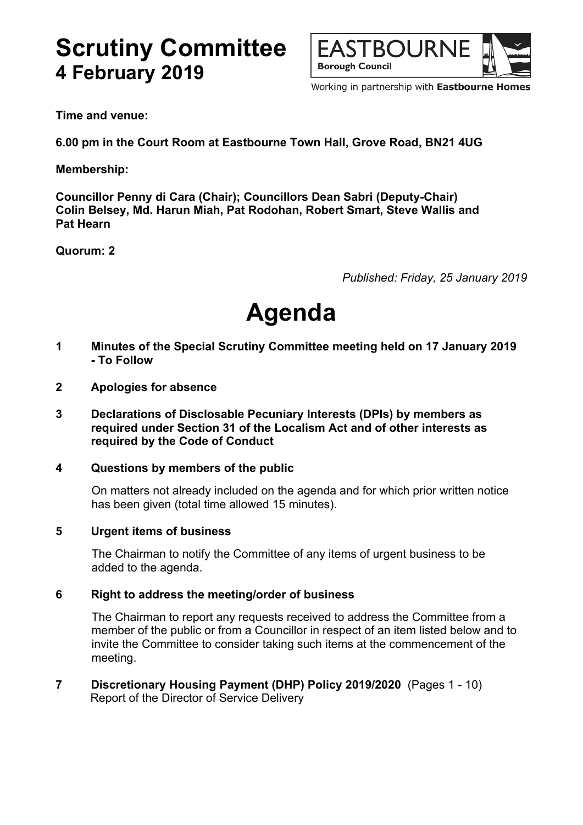## **Scrutiny Committee 4 February 2019**



Working in partnership with Eastbourne Homes

**Time and venue:**

**6.00 pm in the Court Room at Eastbourne Town Hall, Grove Road, BN21 4UG**

**Membership:**

**Councillor Penny di Cara (Chair); Councillors Dean Sabri (Deputy-Chair) Colin Belsey, Md. Harun Miah, Pat Rodohan, Robert Smart, Steve Wallis and Pat Hearn**

**Quorum: 2**

*Published: Friday, 25 January 2019*

# **Agenda**

- **1 Minutes of the Special Scrutiny Committee meeting held on 17 January 2019 - To Follow**
- **2 Apologies for absence**
- **3 Declarations of Disclosable Pecuniary Interests (DPIs) by members as required under Section 31 of the Localism Act and of other interests as required by the Code of Conduct**

#### **4 Questions by members of the public**

On matters not already included on the agenda and for which prior written notice has been given (total time allowed 15 minutes).

#### **5 Urgent items of business**

The Chairman to notify the Committee of any items of urgent business to be added to the agenda.

#### **6 Right to address the meeting/order of business**

The Chairman to report any requests received to address the Committee from a member of the public or from a Councillor in respect of an item listed below and to invite the Committee to consider taking such items at the commencement of the meeting.

**7 Discretionary Housing Payment (DHP) Policy 2019/2020** (Pages 1 - 10) Report of the Director of Service Delivery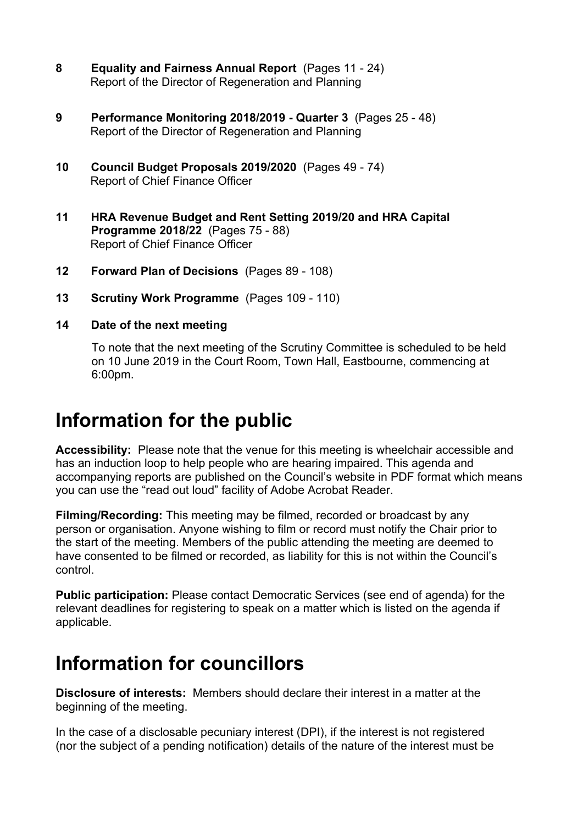- **8 Equality and Fairness Annual Report** (Pages 11 24) Report of the Director of Regeneration and Planning
- **9 Performance Monitoring 2018/2019 - Quarter 3** (Pages 25 48) Report of the Director of Regeneration and Planning
- **10 Council Budget Proposals 2019/2020** (Pages 49 74) Report of Chief Finance Officer
- **11 HRA Revenue Budget and Rent Setting 2019/20 and HRA Capital Programme 2018/22** (Pages 75 - 88) Report of Chief Finance Officer
- **12 Forward Plan of Decisions** (Pages 89 108)
- **13 Scrutiny Work Programme** (Pages 109 110)
- **14 Date of the next meeting**

To note that the next meeting of the Scrutiny Committee is scheduled to be held on 10 June 2019 in the Court Room, Town Hall, Eastbourne, commencing at 6:00pm.

### **Information for the public**

**Accessibility:** Please note that the venue for this meeting is wheelchair accessible and has an induction loop to help people who are hearing impaired. This agenda and accompanying reports are published on the Council's website in PDF format which means you can use the "read out loud" facility of Adobe Acrobat Reader.

**Filming/Recording:** This meeting may be filmed, recorded or broadcast by any person or organisation. Anyone wishing to film or record must notify the Chair prior to the start of the meeting. Members of the public attending the meeting are deemed to have consented to be filmed or recorded, as liability for this is not within the Council's control.

**Public participation:** Please contact Democratic Services (see end of agenda) for the relevant deadlines for registering to speak on a matter which is listed on the agenda if applicable.

### **Information for councillors**

**Disclosure of interests:** Members should declare their interest in a matter at the beginning of the meeting.

In the case of a disclosable pecuniary interest (DPI), if the interest is not registered (nor the subject of a pending notification) details of the nature of the interest must be